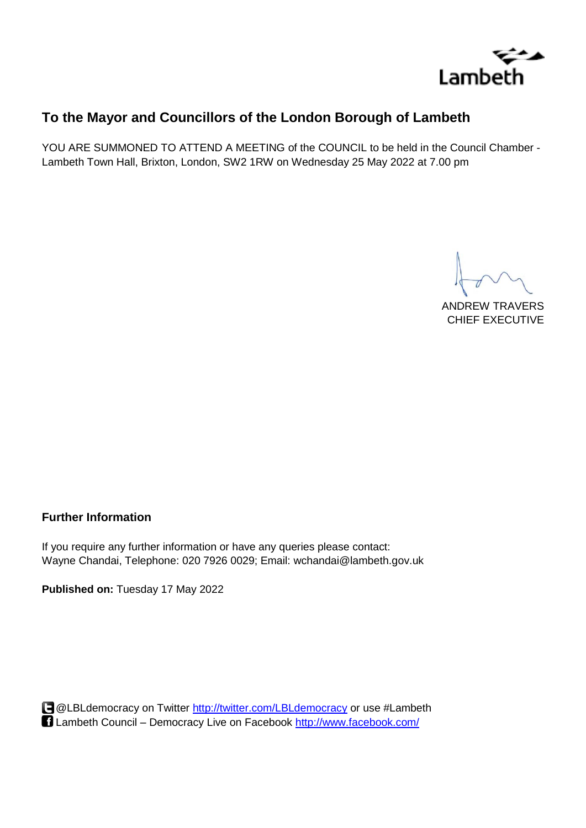

# **To the Mayor and Councillors of the London Borough of Lambeth**

YOU ARE SUMMONED TO ATTEND A MEETING of the COUNCIL to be held in the Council Chamber - Lambeth Town Hall, Brixton, London, SW2 1RW on Wednesday 25 May 2022 at 7.00 pm

ANDREW TRAVERS CHIEF EXECUTIVE

### **Further Information**

If you require any further information or have any queries please contact: Wayne Chandai, Telephone: 020 7926 0029; Email: wchandai@lambeth.gov.uk

**Published on:** Tuesday 17 May 2022

@LBLdemocracy on Twitter<http://twitter.com/LBLdemocracy> or use #Lambeth Lambeth Council – Democracy Live on Facebook<http://www.facebook.com/>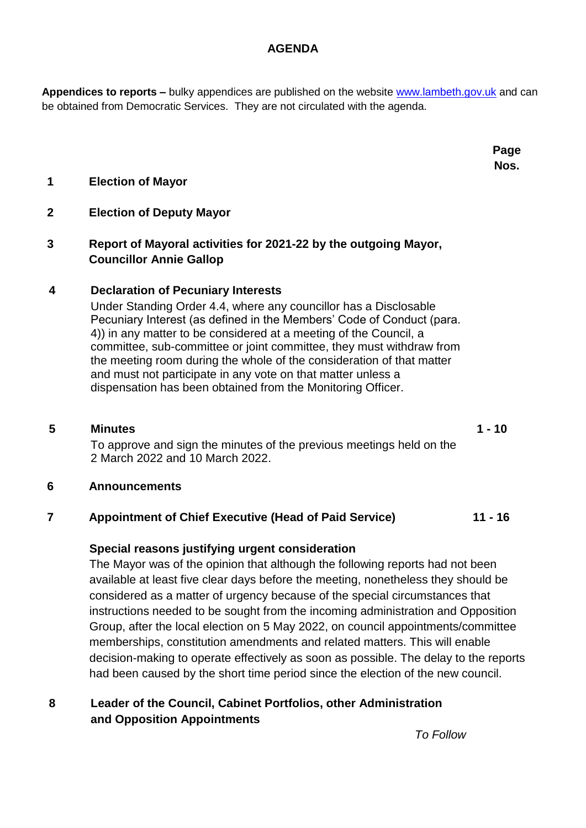#### **AGENDA**

**Appendices to reports –** bulky appendices are published on the website [www.lambeth.gov.uk](http://www.lambeth.gov.uk/) and can be obtained from Democratic Services. They are not circulated with the agenda.

> **Page Nos.**

### **1 Election of Mayor**

### **2 Election of Deputy Mayor**

## **3 Report of Mayoral activities for 2021-22 by the outgoing Mayor, Councillor Annie Gallop**

### **4 Declaration of Pecuniary Interests**

Under Standing Order 4.4, where any councillor has a Disclosable Pecuniary Interest (as defined in the Members' Code of Conduct (para. 4)) in any matter to be considered at a meeting of the Council, a committee, sub-committee or joint committee, they must withdraw from the meeting room during the whole of the consideration of that matter and must not participate in any vote on that matter unless a dispensation has been obtained from the Monitoring Officer.

**5 Minutes 1 - 10** To approve and sign the minutes of the previous meetings held on the 2 March 2022 and 10 March 2022.

### **6 Announcements**

### **7 Appointment of Chief Executive (Head of Paid Service) 11 - 16**

### **Special reasons justifying urgent consideration**

The Mayor was of the opinion that although the following reports had not been available at least five clear days before the meeting, nonetheless they should be considered as a matter of urgency because of the special circumstances that instructions needed to be sought from the incoming administration and Opposition Group, after the local election on 5 May 2022, on council appointments/committee memberships, constitution amendments and related matters. This will enable decision-making to operate effectively as soon as possible. The delay to the reports had been caused by the short time period since the election of the new council.

### **8 Leader of the Council, Cabinet Portfolios, other Administration and Opposition Appointments**

*To Follow*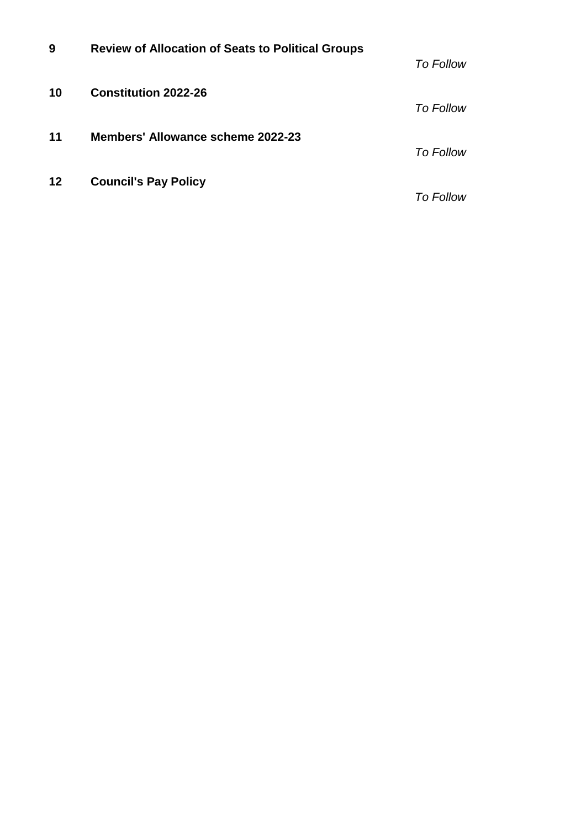| 9  | <b>Review of Allocation of Seats to Political Groups</b> | <b>To Follow</b> |
|----|----------------------------------------------------------|------------------|
| 10 | <b>Constitution 2022-26</b>                              | <b>To Follow</b> |
| 11 | Members' Allowance scheme 2022-23                        | <b>To Follow</b> |
| 12 | <b>Council's Pay Policy</b>                              | <b>To Follow</b> |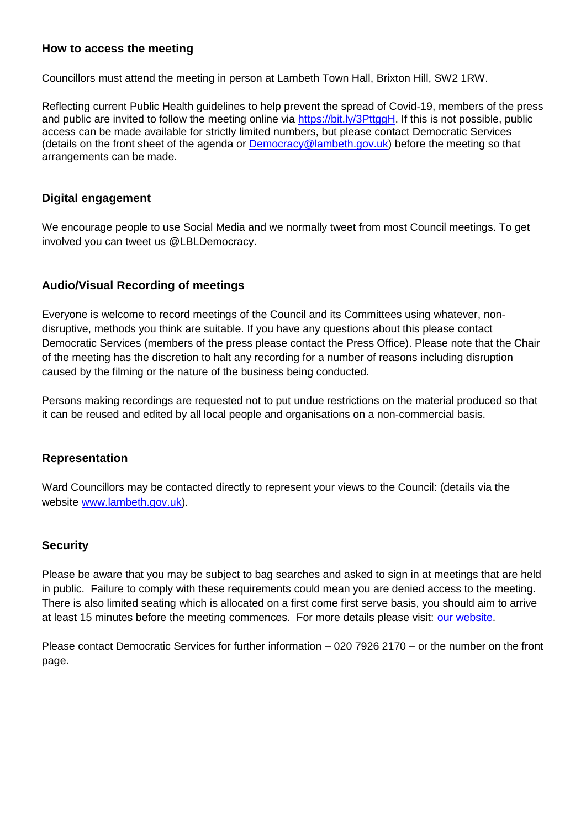### **How to access the meeting**

Councillors must attend the meeting in person at Lambeth Town Hall, Brixton Hill, SW2 1RW.

Reflecting current Public Health guidelines to help prevent the spread of Covid-19, members of the press and public are invited to follow the meeting online via [https://bit.ly/3PttggH.](https://bit.ly/3PttggH) If this is not possible, public access can be made available for strictly limited numbers, but please contact Democratic Services (details on the front sheet of the agenda or [Democracy@lambeth.gov.uk\)](mailto:Democracy@lambeth.gov.uk) before the meeting so that arrangements can be made.

#### **Digital engagement**

We encourage people to use Social Media and we normally tweet from most Council meetings. To get involved you can tweet us @LBLDemocracy.

#### **Audio/Visual Recording of meetings**

Everyone is welcome to record meetings of the Council and its Committees using whatever, nondisruptive, methods you think are suitable. If you have any questions about this please contact Democratic Services (members of the press please contact the Press Office). Please note that the Chair of the meeting has the discretion to halt any recording for a number of reasons including disruption caused by the filming or the nature of the business being conducted.

Persons making recordings are requested not to put undue restrictions on the material produced so that it can be reused and edited by all local people and organisations on a non-commercial basis.

#### **Representation**

Ward Councillors may be contacted directly to represent your views to the Council: (details via the website [www.lambeth.gov.uk\)](www.lambeth.gov.uk).

#### **Security**

Please be aware that you may be subject to bag searches and asked to sign in at meetings that are held in public. Failure to comply with these requirements could mean you are denied access to the meeting. There is also limited seating which is allocated on a first come first serve basis, you should aim to arrive at least 15 minutes before the meeting commences. For more details please visit: [our website.](http://www.lambeth.gov.uk/elections-and-council/meetings-minutes-and-agendas/getting-involved-in-decision-making-guide)

Please contact Democratic Services for further information – 020 7926 2170 – or the number on the front page.